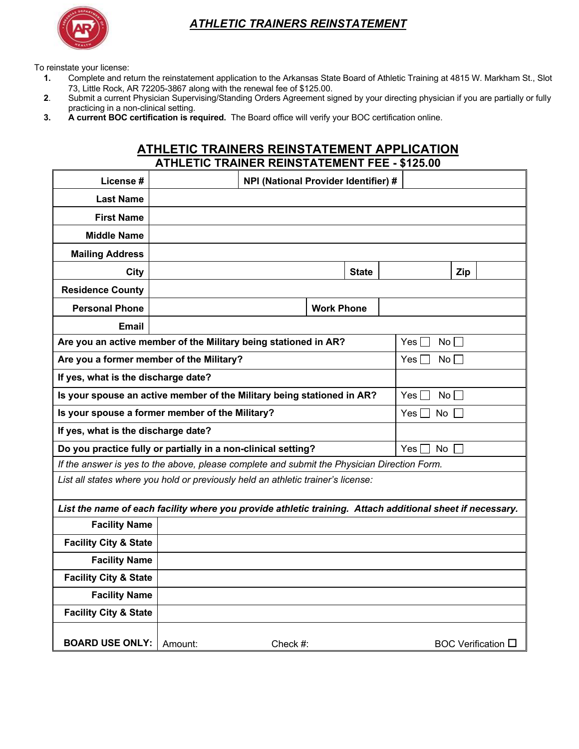

## *ATHLETIC TRAINERS REINSTATEMENT*

To reinstate your license:

- **1.** Complete and return the reinstatement application to the Arkansas State Board of Athletic Training at 4815 W. Markham St., Slot 73, Little Rock, AR 72205-3867 along with the renewal fee of \$125.00.
- **2**. Submit a current Physician Supervising/Standing Orders Agreement signed by your directing physician if you are partially or fully practicing in a non-clinical setting.
- **3. A current BOC certification is required.** The Board office will verify your BOC certification online.

## **ATHLETIC TRAINERS REINSTATEMENT APPLICATION ATHLETIC TRAINER REINSTATEMENT FEE - \$125.00**

| License #                                                                                                 | NPI (National Provider Identifier) # |             |                   |  |                          |                           |  |
|-----------------------------------------------------------------------------------------------------------|--------------------------------------|-------------|-------------------|--|--------------------------|---------------------------|--|
| <b>Last Name</b>                                                                                          |                                      |             |                   |  |                          |                           |  |
| <b>First Name</b>                                                                                         |                                      |             |                   |  |                          |                           |  |
| <b>Middle Name</b>                                                                                        |                                      |             |                   |  |                          |                           |  |
| <b>Mailing Address</b>                                                                                    |                                      |             |                   |  |                          |                           |  |
| <b>City</b>                                                                                               |                                      |             | <b>State</b>      |  |                          | Zip                       |  |
| <b>Residence County</b>                                                                                   |                                      |             |                   |  |                          |                           |  |
| <b>Personal Phone</b>                                                                                     |                                      |             | <b>Work Phone</b> |  |                          |                           |  |
| <b>Email</b>                                                                                              |                                      |             |                   |  |                          |                           |  |
| Are you an active member of the Military being stationed in AR?                                           |                                      |             |                   |  | Yes [<br>No <sub>1</sub> |                           |  |
| Are you a former member of the Military?                                                                  |                                      |             |                   |  | Yes l<br>No H            |                           |  |
| If yes, what is the discharge date?                                                                       |                                      |             |                   |  |                          |                           |  |
| Is your spouse an active member of the Military being stationed in AR?                                    |                                      |             |                   |  | Yes  <br>$No$ $\vert$    |                           |  |
| Is your spouse a former member of the Military?                                                           |                                      |             |                   |  | Yes l<br>No              |                           |  |
| If yes, what is the discharge date?                                                                       |                                      |             |                   |  |                          |                           |  |
| Do you practice fully or partially in a non-clinical setting?                                             |                                      |             |                   |  | Yes I<br>No.             |                           |  |
| If the answer is yes to the above, please complete and submit the Physician Direction Form.               |                                      |             |                   |  |                          |                           |  |
| List all states where you hold or previously held an athletic trainer's license:                          |                                      |             |                   |  |                          |                           |  |
| List the name of each facility where you provide athletic training. Attach additional sheet if necessary. |                                      |             |                   |  |                          |                           |  |
| <b>Facility Name</b>                                                                                      |                                      |             |                   |  |                          |                           |  |
| <b>Facility City &amp; State</b>                                                                          |                                      |             |                   |  |                          |                           |  |
| <b>Facility Name</b>                                                                                      |                                      |             |                   |  |                          |                           |  |
| <b>Facility City &amp; State</b>                                                                          |                                      |             |                   |  |                          |                           |  |
| <b>Facility Name</b>                                                                                      |                                      |             |                   |  |                          |                           |  |
| <b>Facility City &amp; State</b>                                                                          |                                      |             |                   |  |                          |                           |  |
| <b>BOARD USE ONLY:</b>                                                                                    | Amount:                              | Check $#$ : |                   |  |                          | <b>BOC Verification</b> □ |  |